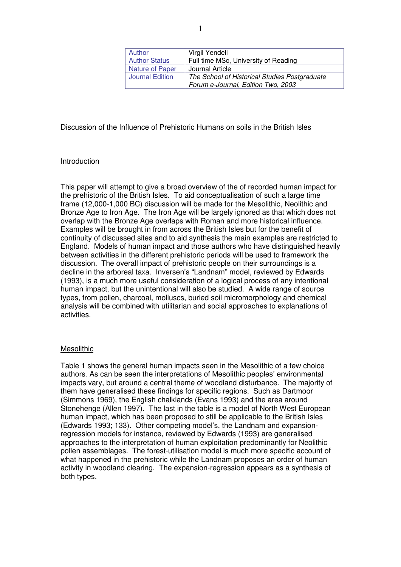| Author                 | Virgil Yendell                                                                      |
|------------------------|-------------------------------------------------------------------------------------|
| <b>Author Status</b>   | Full time MSc, University of Reading                                                |
| Nature of Paper        | Journal Article                                                                     |
| <b>Journal Edition</b> | The School of Historical Studies Postgraduate<br>Forum e-Journal, Edition Two, 2003 |

# Discussion of the Influence of Prehistoric Humans on soils in the British Isles

# Introduction

This paper will attempt to give a broad overview of the of recorded human impact for the prehistoric of the British Isles. To aid conceptualisation of such a large time frame (12,000-1,000 BC) discussion will be made for the Mesolithic, Neolithic and Bronze Age to Iron Age. The Iron Age will be largely ignored as that which does not overlap with the Bronze Age overlaps with Roman and more historical influence. Examples will be brought in from across the British Isles but for the benefit of continuity of discussed sites and to aid synthesis the main examples are restricted to England. Models of human impact and those authors who have distinguished heavily between activities in the different prehistoric periods will be used to framework the discussion. The overall impact of prehistoric people on their surroundings is a decline in the arboreal taxa. Inversen's "Landnam" model, reviewed by Edwards (1993), is a much more useful consideration of a logical process of any intentional human impact, but the unintentional will also be studied. A wide range of source types, from pollen, charcoal, molluscs, buried soil micromorphology and chemical analysis will be combined with utilitarian and social approaches to explanations of activities.

## **Mesolithic**

Table 1 shows the general human impacts seen in the Mesolithic of a few choice authors. As can be seen the interpretations of Mesolithic peoples' environmental impacts vary, but around a central theme of woodland disturbance. The majority of them have generalised these findings for specific regions. Such as Dartmoor (Simmons 1969), the English chalklands (Evans 1993) and the area around Stonehenge (Allen 1997). The last in the table is a model of North West European human impact, which has been proposed to still be applicable to the British Isles (Edwards 1993; 133). Other competing model's, the Landnam and expansionregression models for instance, reviewed by Edwards (1993) are generalised approaches to the interpretation of human exploitation predominantly for Neolithic pollen assemblages. The forest-utilisation model is much more specific account of what happened in the prehistoric while the Landnam proposes an order of human activity in woodland clearing. The expansion-regression appears as a synthesis of both types.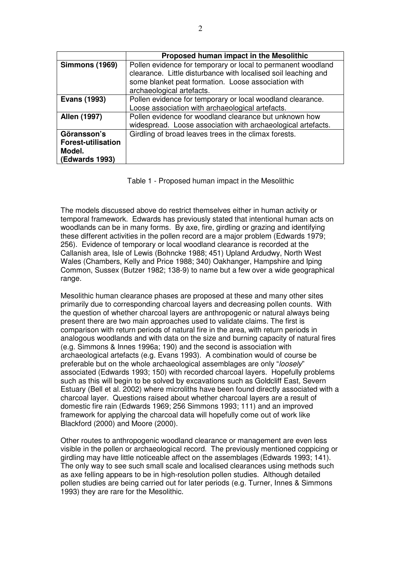|                                                                             | Proposed human impact in the Mesolithic                                                                                                                                                                            |
|-----------------------------------------------------------------------------|--------------------------------------------------------------------------------------------------------------------------------------------------------------------------------------------------------------------|
| <b>Simmons (1969)</b>                                                       | Pollen evidence for temporary or local to permanent woodland<br>clearance. Little disturbance with localised soil leaching and<br>some blanket peat formation. Loose association with<br>archaeological artefacts. |
| <b>Evans (1993)</b>                                                         | Pollen evidence for temporary or local woodland clearance.<br>Loose association with archaeological artefacts.                                                                                                     |
| Allen (1997)                                                                | Pollen evidence for woodland clearance but unknown how<br>widespread. Loose association with archaeological artefacts.                                                                                             |
| Göransson's<br><b>Forest-utilisation</b><br>Model.<br><b>(Edwards 1993)</b> | Girdling of broad leaves trees in the climax forests.                                                                                                                                                              |

Table 1 - Proposed human impact in the Mesolithic

The models discussed above do restrict themselves either in human activity or temporal framework. Edwards has previously stated that intentional human acts on woodlands can be in many forms. By axe, fire, girdling or grazing and identifying these different activities in the pollen record are a major problem (Edwards 1979; 256). Evidence of temporary or local woodland clearance is recorded at the Callanish area, Isle of Lewis (Bohncke 1988; 451) Upland Ardudwy, North West Wales (Chambers, Kelly and Price 1988; 340) Oakhanger, Hampshire and Iping Common, Sussex (Butzer 1982; 138-9) to name but a few over a wide geographical range.

Mesolithic human clearance phases are proposed at these and many other sites primarily due to corresponding charcoal layers and decreasing pollen counts. With the question of whether charcoal layers are anthropogenic or natural always being present there are two main approaches used to validate claims. The first is comparison with return periods of natural fire in the area, with return periods in analogous woodlands and with data on the size and burning capacity of natural fires (e.g. Simmons & Innes 1996a; 190) and the second is association with archaeological artefacts (e.g. Evans 1993). A combination would of course be preferable but on the whole archaeological assemblages are only "loosely" associated (Edwards 1993; 150) with recorded charcoal layers. Hopefully problems such as this will begin to be solved by excavations such as Goldcliff East, Severn Estuary (Bell et al. 2002) where microliths have been found directly associated with a charcoal layer. Questions raised about whether charcoal layers are a result of domestic fire rain (Edwards 1969; 256 Simmons 1993; 111) and an improved framework for applying the charcoal data will hopefully come out of work like Blackford (2000) and Moore (2000).

Other routes to anthropogenic woodland clearance or management are even less visible in the pollen or archaeological record. The previously mentioned coppicing or girdling may have little noticeable affect on the assemblages (Edwards 1993; 141). The only way to see such small scale and localised clearances using methods such as axe felling appears to be in high-resolution pollen studies. Although detailed pollen studies are being carried out for later periods (e.g. Turner, Innes & Simmons 1993) they are rare for the Mesolithic.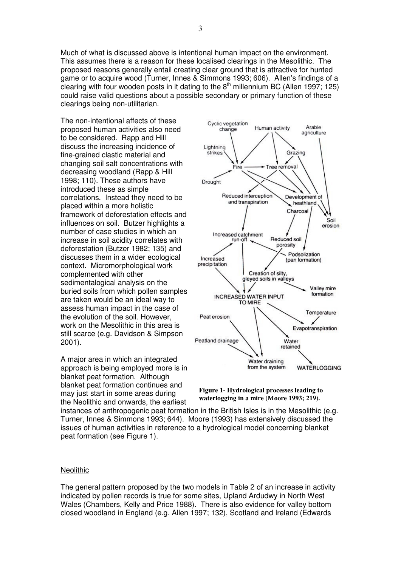Much of what is discussed above is intentional human impact on the environment. This assumes there is a reason for these localised clearings in the Mesolithic. The proposed reasons generally entail creating clear ground that is attractive for hunted game or to acquire wood (Turner, Innes & Simmons 1993; 606). Allen's findings of a clearing with four wooden posts in it dating to the  $8<sup>th</sup>$  millennium BC (Allen 1997; 125) could raise valid questions about a possible secondary or primary function of these clearings being non-utilitarian.

The non-intentional affects of these proposed human activities also need to be considered. Rapp and Hill discuss the increasing incidence of fine-grained clastic material and changing soil salt concentrations with decreasing woodland (Rapp & Hill 1998; 110). These authors have introduced these as simple correlations. Instead they need to be placed within a more holistic framework of deforestation effects and influences on soil. Butzer highlights a number of case studies in which an increase in soil acidity correlates with deforestation (Butzer 1982; 135) and discusses them in a wider ecological context. Micromorphological work complemented with other sedimentalogical analysis on the buried soils from which pollen samples are taken would be an ideal way to assess human impact in the case of the evolution of the soil. However, work on the Mesolithic in this area is still scarce (e.g. Davidson & Simpson 2001).

A major area in which an integrated approach is being employed more is in blanket peat formation. Although blanket peat formation continues and may just start in some areas during the Neolithic and onwards, the earliest



**Figure 1- Hydrological processes leading to waterlogging in a mire (Moore 1993; 219).**

instances of anthropogenic peat formation in the British Isles is in the Mesolithic (e.g. Turner, Innes & Simmons 1993; 644). Moore (1993) has extensively discussed the issues of human activities in reference to a hydrological model concerning blanket peat formation (see Figure 1).

#### **Neolithic**

The general pattern proposed by the two models in Table 2 of an increase in activity indicated by pollen records is true for some sites, Upland Ardudwy in North West Wales (Chambers, Kelly and Price 1988). There is also evidence for valley bottom closed woodland in England (e.g. Allen 1997; 132), Scotland and Ireland (Edwards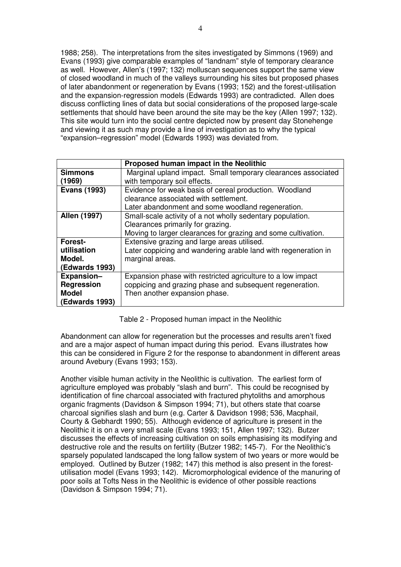1988; 258). The interpretations from the sites investigated by Simmons (1969) and Evans (1993) give comparable examples of "landnam" style of temporary clearance as well. However, Allen's (1997; 132) molluscan sequences support the same view of closed woodland in much of the valleys surrounding his sites but proposed phases of later abandonment or regeneration by Evans (1993; 152) and the forest-utilisation and the expansion-regression models (Edwards 1993) are contradicted. Allen does discuss conflicting lines of data but social considerations of the proposed large-scale settlements that should have been around the site may be the key (Allen 1997; 132). This site would turn into the social centre depicted now by present day Stonehenge and viewing it as such may provide a line of investigation as to why the typical "expansion–regression" model (Edwards 1993) was deviated from.

|                       | Proposed human impact in the Neolithic                         |
|-----------------------|----------------------------------------------------------------|
| <b>Simmons</b>        | Marginal upland impact. Small temporary clearances associated  |
| (1969)                | with temporary soil effects.                                   |
| <b>Evans (1993)</b>   | Evidence for weak basis of cereal production. Woodland         |
|                       | clearance associated with settlement.                          |
|                       | Later abandonment and some woodland regeneration.              |
| Allen (1997)          | Small-scale activity of a not wholly sedentary population.     |
|                       | Clearances primarily for grazing.                              |
|                       | Moving to larger clearances for grazing and some cultivation.  |
| Forest-               | Extensive grazing and large areas utilised.                    |
| utilisation           | Later coppicing and wandering arable land with regeneration in |
| Model.                | marginal areas.                                                |
| <b>(Edwards 1993)</b> |                                                                |
| <b>Expansion-</b>     | Expansion phase with restricted agriculture to a low impact    |
| <b>Regression</b>     | coppicing and grazing phase and subsequent regeneration.       |
| <b>Model</b>          | Then another expansion phase.                                  |
| <b>(Edwards 1993)</b> |                                                                |

Table 2 - Proposed human impact in the Neolithic

Abandonment can allow for regeneration but the processes and results aren't fixed and are a major aspect of human impact during this period. Evans illustrates how this can be considered in Figure 2 for the response to abandonment in different areas around Avebury (Evans 1993; 153).

Another visible human activity in the Neolithic is cultivation. The earliest form of agriculture employed was probably "slash and burn". This could be recognised by identification of fine charcoal associated with fractured phytoliths and amorphous organic fragments (Davidson & Simpson 1994; 71), but others state that coarse charcoal signifies slash and burn (e.g. Carter & Davidson 1998; 536, Macphail, Courty & Gebhardt 1990; 55). Although evidence of agriculture is present in the Neolithic it is on a very small scale (Evans 1993; 151, Allen 1997; 132). Butzer discusses the effects of increasing cultivation on soils emphasising its modifying and destructive role and the results on fertility (Butzer 1982; 145-7). For the Neolithic's sparsely populated landscaped the long fallow system of two years or more would be employed. Outlined by Butzer (1982; 147) this method is also present in the forestutilisation model (Evans 1993; 142). Micromorphological evidence of the manuring of poor soils at Tofts Ness in the Neolithic is evidence of other possible reactions (Davidson & Simpson 1994; 71).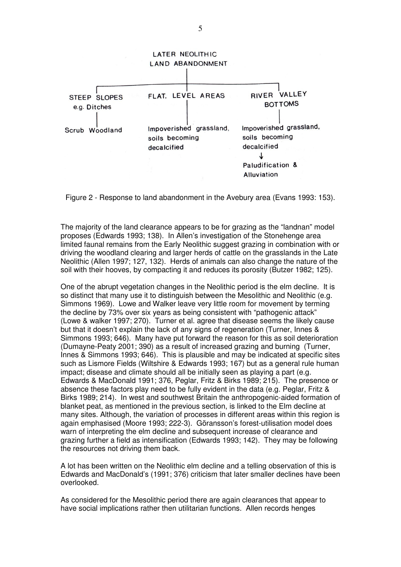

Figure 2 - Response to land abandonment in the Avebury area (Evans 1993: 153).

The majority of the land clearance appears to be for grazing as the "landnan" model proposes (Edwards 1993; 138). In Allen's investigation of the Stonehenge area limited faunal remains from the Early Neolithic suggest grazing in combination with or driving the woodland clearing and larger herds of cattle on the grasslands in the Late Neolithic (Allen 1997; 127, 132). Herds of animals can also change the nature of the soil with their hooves, by compacting it and reduces its porosity (Butzer 1982; 125).

One of the abrupt vegetation changes in the Neolithic period is the elm decline. It is so distinct that many use it to distinguish between the Mesolithic and Neolithic (e.g. Simmons 1969). Lowe and Walker leave very little room for movement by terming the decline by 73% over six years as being consistent with "pathogenic attack" (Lowe & walker 1997; 270). Turner et al. agree that disease seems the likely cause but that it doesn't explain the lack of any signs of regeneration (Turner, Innes & Simmons 1993; 646). Many have put forward the reason for this as soil deterioration (Dumayne-Peaty 2001; 390) as a result of increased grazing and burning (Turner, Innes & Simmons 1993; 646). This is plausible and may be indicated at specific sites such as Lismore Fields (Wiltshire & Edwards 1993; 167) but as a general rule human impact; disease and climate should all be initially seen as playing a part (e.g. Edwards & MacDonald 1991; 376, Peglar, Fritz & Birks 1989; 215). The presence or absence these factors play need to be fully evident in the data (e.g. Peglar, Fritz & Birks 1989; 214). In west and southwest Britain the anthropogenic-aided formation of blanket peat, as mentioned in the previous section, is linked to the Elm decline at many sites. Although, the variation of processes in different areas within this region is again emphasised (Moore 1993; 222-3). Göransson's forest-utilisation model does warn of interpreting the elm decline and subsequent increase of clearance and grazing further a field as intensification (Edwards 1993; 142). They may be following the resources not driving them back.

A lot has been written on the Neolithic elm decline and a telling observation of this is Edwards and MacDonald's (1991; 376) criticism that later smaller declines have been overlooked.

As considered for the Mesolithic period there are again clearances that appear to have social implications rather then utilitarian functions. Allen records henges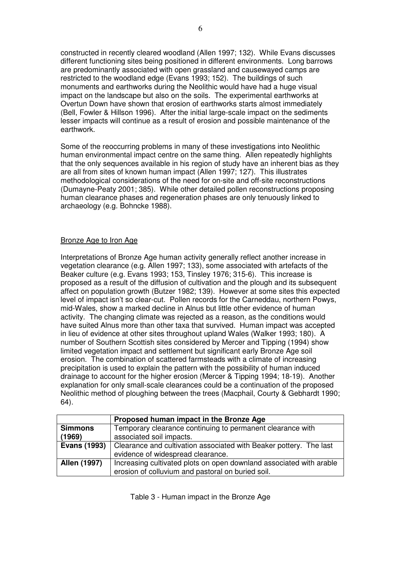constructed in recently cleared woodland (Allen 1997; 132). While Evans discusses different functioning sites being positioned in different environments. Long barrows are predominantly associated with open grassland and causewayed camps are restricted to the woodland edge (Evans 1993; 152). The buildings of such monuments and earthworks during the Neolithic would have had a huge visual impact on the landscape but also on the soils. The experimental earthworks at Overtun Down have shown that erosion of earthworks starts almost immediately (Bell, Fowler & Hillson 1996). After the initial large-scale impact on the sediments lesser impacts will continue as a result of erosion and possible maintenance of the earthwork.

Some of the reoccurring problems in many of these investigations into Neolithic human environmental impact centre on the same thing. Allen repeatedly highlights that the only sequences available in his region of study have an inherent bias as they are all from sites of known human impact (Allen 1997; 127). This illustrates methodological considerations of the need for on-site and off-site reconstructions (Dumayne-Peaty 2001; 385). While other detailed pollen reconstructions proposing human clearance phases and regeneration phases are only tenuously linked to archaeology (e.g. Bohncke 1988).

# Bronze Age to Iron Age

Interpretations of Bronze Age human activity generally reflect another increase in vegetation clearance (e.g. Allen 1997; 133), some associated with artefacts of the Beaker culture (e.g. Evans 1993; 153, Tinsley 1976; 315-6). This increase is proposed as a result of the diffusion of cultivation and the plough and its subsequent affect on population growth (Butzer 1982; 139). However at some sites this expected level of impact isn't so clear-cut. Pollen records for the Carneddau, northern Powys, mid-Wales, show a marked decline in Alnus but little other evidence of human activity. The changing climate was rejected as a reason, as the conditions would have suited Alnus more than other taxa that survived. Human impact was accepted in lieu of evidence at other sites throughout upland Wales (Walker 1993; 180). A number of Southern Scottish sites considered by Mercer and Tipping (1994) show limited vegetation impact and settlement but significant early Bronze Age soil erosion. The combination of scattered farmsteads with a climate of increasing precipitation is used to explain the pattern with the possibility of human induced drainage to account for the higher erosion (Mercer & Tipping 1994; 18-19). Another explanation for only small-scale clearances could be a continuation of the proposed Neolithic method of ploughing between the trees (Macphail, Courty & Gebhardt 1990; 64).

|                     | Proposed human impact in the Bronze Age                             |
|---------------------|---------------------------------------------------------------------|
| <b>Simmons</b>      | Temporary clearance continuing to permanent clearance with          |
| (1969)              | associated soil impacts.                                            |
| <b>Evans (1993)</b> | Clearance and cultivation associated with Beaker pottery. The last  |
|                     | evidence of widespread clearance.                                   |
| Allen (1997)        | Increasing cultivated plots on open downland associated with arable |
|                     | erosion of colluvium and pastoral on buried soil.                   |

Table 3 - Human impact in the Bronze Age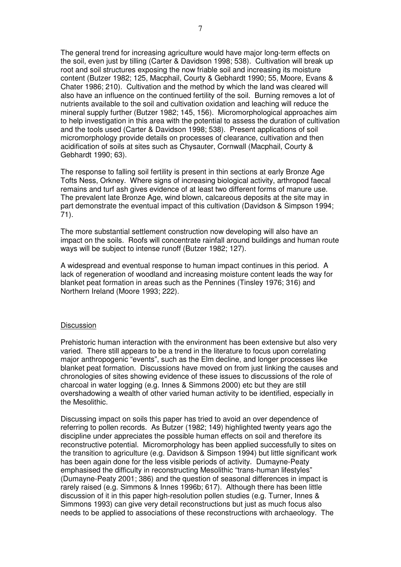The general trend for increasing agriculture would have major long-term effects on the soil, even just by tilling (Carter & Davidson 1998; 538). Cultivation will break up root and soil structures exposing the now friable soil and increasing its moisture content (Butzer 1982; 125, Macphail, Courty & Gebhardt 1990; 55, Moore, Evans & Chater 1986; 210). Cultivation and the method by which the land was cleared will also have an influence on the continued fertility of the soil. Burning removes a lot of nutrients available to the soil and cultivation oxidation and leaching will reduce the mineral supply further (Butzer 1982; 145, 156). Micromorphological approaches aim to help investigation in this area with the potential to assess the duration of cultivation and the tools used (Carter & Davidson 1998; 538). Present applications of soil micromorphology provide details on processes of clearance, cultivation and then acidification of soils at sites such as Chysauter, Cornwall (Macphail, Courty & Gebhardt 1990; 63).

The response to falling soil fertility is present in thin sections at early Bronze Age Tofts Ness, Orkney. Where signs of increasing biological activity, arthropod faecal remains and turf ash gives evidence of at least two different forms of manure use. The prevalent late Bronze Age, wind blown, calcareous deposits at the site may in part demonstrate the eventual impact of this cultivation (Davidson & Simpson 1994; 71).

The more substantial settlement construction now developing will also have an impact on the soils. Roofs will concentrate rainfall around buildings and human route ways will be subject to intense runoff (Butzer 1982; 127).

A widespread and eventual response to human impact continues in this period. A lack of regeneration of woodland and increasing moisture content leads the way for blanket peat formation in areas such as the Pennines (Tinsley 1976; 316) and Northern Ireland (Moore 1993; 222).

#### **Discussion**

Prehistoric human interaction with the environment has been extensive but also very varied. There still appears to be a trend in the literature to focus upon correlating major anthropogenic "events", such as the Elm decline, and longer processes like blanket peat formation. Discussions have moved on from just linking the causes and chronologies of sites showing evidence of these issues to discussions of the role of charcoal in water logging (e.g. Innes & Simmons 2000) etc but they are still overshadowing a wealth of other varied human activity to be identified, especially in the Mesolithic.

Discussing impact on soils this paper has tried to avoid an over dependence of referring to pollen records. As Butzer (1982; 149) highlighted twenty years ago the discipline under appreciates the possible human effects on soil and therefore its reconstructive potential. Micromorphology has been applied successfully to sites on the transition to agriculture (e.g. Davidson & Simpson 1994) but little significant work has been again done for the less visible periods of activity. Dumayne-Peaty emphasised the difficulty in reconstructing Mesolithic "trans-human lifestyles" (Dumayne-Peaty 2001; 386) and the question of seasonal differences in impact is rarely raised (e.g. Simmons & Innes 1996b; 617). Although there has been little discussion of it in this paper high-resolution pollen studies (e.g. Turner, Innes & Simmons 1993) can give very detail reconstructions but just as much focus also needs to be applied to associations of these reconstructions with archaeology. The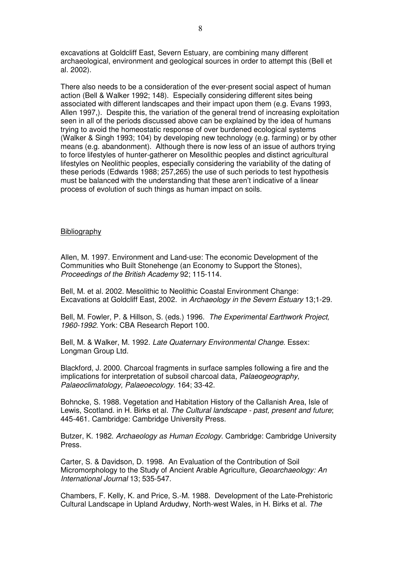excavations at Goldcliff East, Severn Estuary, are combining many different archaeological, environment and geological sources in order to attempt this (Bell et al. 2002).

There also needs to be a consideration of the ever-present social aspect of human action (Bell & Walker 1992; 148). Especially considering different sites being associated with different landscapes and their impact upon them (e.g. Evans 1993, Allen 1997,). Despite this, the variation of the general trend of increasing exploitation seen in all of the periods discussed above can be explained by the idea of humans trying to avoid the homeostatic response of over burdened ecological systems (Walker & Singh 1993; 104) by developing new technology (e.g. farming) or by other means (e.g. abandonment). Although there is now less of an issue of authors trying to force lifestyles of hunter-gatherer on Mesolithic peoples and distinct agricultural lifestyles on Neolithic peoples, especially considering the variability of the dating of these periods (Edwards 1988; 257,265) the use of such periods to test hypothesis must be balanced with the understanding that these aren't indicative of a linear process of evolution of such things as human impact on soils.

## Bibliography

Allen, M. 1997. Environment and Land-use: The economic Development of the Communities who Built Stonehenge (an Economy to Support the Stones), Proceedings of the British Academy 92; 115-114.

Bell, M. et al. 2002. Mesolithic to Neolithic Coastal Environment Change: Excavations at Goldcliff East, 2002. in Archaeology in the Severn Estuary 13;1-29.

Bell, M. Fowler, P. & Hillson, S. (eds.) 1996. The Experimental Earthwork Project, 1960-1992. York: CBA Research Report 100.

Bell, M. & Walker, M. 1992. Late Quaternary Environmental Change. Essex: Longman Group Ltd.

Blackford, J. 2000. Charcoal fragments in surface samples following a fire and the implications for interpretation of subsoil charcoal data, Palaeogeography, Palaeoclimatology, Palaeoecology. 164; 33-42.

Bohncke, S. 1988. Vegetation and Habitation History of the Callanish Area, Isle of Lewis, Scotland. in H. Birks et al. The Cultural landscape - past, present and future; 445-461. Cambridge: Cambridge University Press.

Butzer, K. 1982. Archaeology as Human Ecology. Cambridge: Cambridge University Press.

Carter, S. & Davidson, D. 1998. An Evaluation of the Contribution of Soil Micromorphology to the Study of Ancient Arable Agriculture, Geoarchaeology: An International Journal 13; 535-547.

Chambers, F. Kelly, K. and Price, S.-M. 1988. Development of the Late-Prehistoric Cultural Landscape in Upland Ardudwy, North-west Wales, in H. Birks et al. The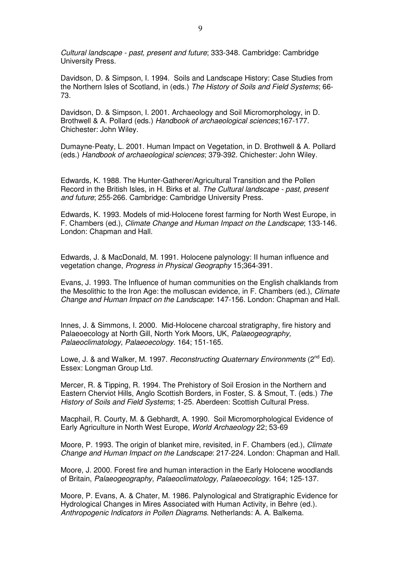Cultural landscape - past, present and future; 333-348. Cambridge: Cambridge University Press.

Davidson, D. & Simpson, I. 1994. Soils and Landscape History: Case Studies from the Northern Isles of Scotland, in (eds.) The History of Soils and Field Systems; 66- 73.

Davidson, D. & Simpson, I. 2001. Archaeology and Soil Micromorphology, in D. Brothwell & A. Pollard (eds.) Handbook of archaeological sciences;167-177. Chichester: John Wiley.

Dumayne-Peaty, L. 2001. Human Impact on Vegetation, in D. Brothwell & A. Pollard (eds.) Handbook of archaeological sciences; 379-392. Chichester: John Wiley.

Edwards, K. 1988. The Hunter-Gatherer/Agricultural Transition and the Pollen Record in the British Isles, in H. Birks et al. The Cultural landscape - past, present and future; 255-266. Cambridge: Cambridge University Press.

Edwards, K. 1993. Models of mid-Holocene forest farming for North West Europe, in F. Chambers (ed.), Climate Change and Human Impact on the Landscape; 133-146. London: Chapman and Hall.

Edwards, J. & MacDonald, M. 1991. Holocene palynology: II human influence and vegetation change, Progress in Physical Geography 15;364-391.

Evans, J. 1993. The Influence of human communities on the English chalklands from the Mesolithic to the Iron Age: the molluscan evidence, in F. Chambers (ed.), Climate Change and Human Impact on the Landscape: 147-156. London: Chapman and Hall.

Innes, J. & Simmons, I. 2000. Mid-Holocene charcoal stratigraphy, fire history and Palaeoecology at North Gill, North York Moors, UK, Palaeogeography, Palaeoclimatology, Palaeoecology. 164; 151-165.

Lowe, J. & and Walker, M. 1997. Reconstructing Quaternary Environments (2<sup>nd</sup> Ed). Essex: Longman Group Ltd.

Mercer, R. & Tipping, R. 1994. The Prehistory of Soil Erosion in the Northern and Eastern Cherviot Hills, Anglo Scottish Borders, in Foster, S. & Smout, T. (eds.) The History of Soils and Field Systems; 1-25. Aberdeen: Scottish Cultural Press.

Macphail, R. Courty, M. & Gebhardt, A. 1990. Soil Micromorphological Evidence of Early Agriculture in North West Europe, World Archaeology 22; 53-69

Moore, P. 1993. The origin of blanket mire, revisited, in F. Chambers (ed.), Climate Change and Human Impact on the Landscape: 217-224. London: Chapman and Hall.

Moore, J. 2000. Forest fire and human interaction in the Early Holocene woodlands of Britain, Palaeogeography, Palaeoclimatology, Palaeoecology. 164; 125-137.

Moore, P. Evans, A. & Chater, M. 1986. Palynological and Stratigraphic Evidence for Hydrological Changes in Mires Associated with Human Activity, in Behre (ed.). Anthropogenic Indicators in Pollen Diagrams. Netherlands: A. A. Balkema.